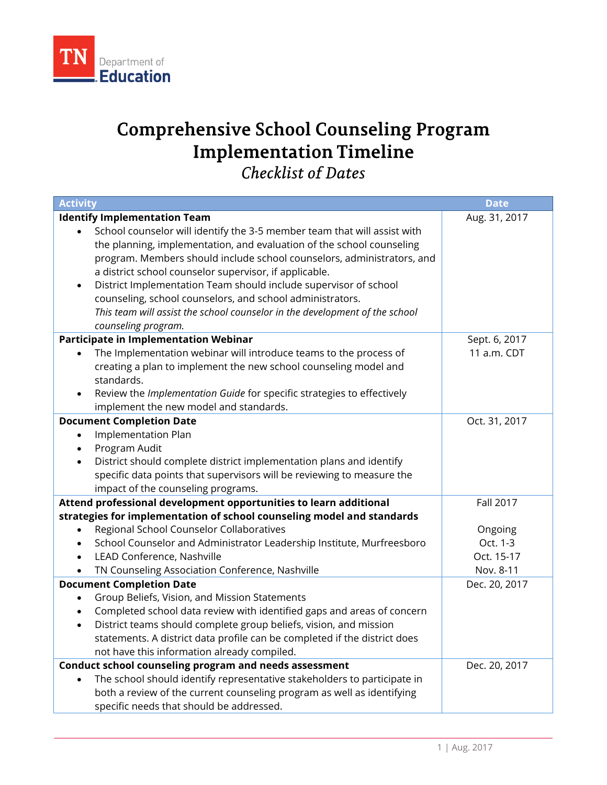

## **Comprehensive School Counseling Program Implementation Timeline**  *Checklist of Dates*

| <b>Activity</b>                                                                                                                                             | <b>Date</b>      |
|-------------------------------------------------------------------------------------------------------------------------------------------------------------|------------------|
| <b>Identify Implementation Team</b>                                                                                                                         | Aug. 31, 2017    |
| School counselor will identify the 3-5 member team that will assist with                                                                                    |                  |
| the planning, implementation, and evaluation of the school counseling                                                                                       |                  |
| program. Members should include school counselors, administrators, and                                                                                      |                  |
| a district school counselor supervisor, if applicable.                                                                                                      |                  |
| District Implementation Team should include supervisor of school                                                                                            |                  |
| counseling, school counselors, and school administrators.                                                                                                   |                  |
| This team will assist the school counselor in the development of the school                                                                                 |                  |
| counseling program.                                                                                                                                         |                  |
| Participate in Implementation Webinar                                                                                                                       | Sept. 6, 2017    |
| The Implementation webinar will introduce teams to the process of                                                                                           | 11 a.m. CDT      |
| creating a plan to implement the new school counseling model and                                                                                            |                  |
| standards.                                                                                                                                                  |                  |
| Review the Implementation Guide for specific strategies to effectively                                                                                      |                  |
| implement the new model and standards.                                                                                                                      |                  |
| <b>Document Completion Date</b>                                                                                                                             | Oct. 31, 2017    |
| Implementation Plan                                                                                                                                         |                  |
| Program Audit                                                                                                                                               |                  |
| District should complete district implementation plans and identify<br>$\bullet$                                                                            |                  |
| specific data points that supervisors will be reviewing to measure the                                                                                      |                  |
| impact of the counseling programs.                                                                                                                          |                  |
| Attend professional development opportunities to learn additional                                                                                           | <b>Fall 2017</b> |
| strategies for implementation of school counseling model and standards                                                                                      |                  |
| Regional School Counselor Collaboratives                                                                                                                    | Ongoing          |
| School Counselor and Administrator Leadership Institute, Murfreesboro                                                                                       | Oct. 1-3         |
| LEAD Conference, Nashville                                                                                                                                  | Oct. 15-17       |
| TN Counseling Association Conference, Nashville                                                                                                             | Nov. 8-11        |
| <b>Document Completion Date</b>                                                                                                                             | Dec. 20, 2017    |
| Group Beliefs, Vision, and Mission Statements<br>٠                                                                                                          |                  |
| Completed school data review with identified gaps and areas of concern<br>$\bullet$                                                                         |                  |
| District teams should complete group beliefs, vision, and mission<br>$\bullet$<br>statements. A district data profile can be completed if the district does |                  |
|                                                                                                                                                             |                  |
| not have this information already compiled.                                                                                                                 | Dec. 20, 2017    |
| Conduct school counseling program and needs assessment<br>The school should identify representative stakeholders to participate in                          |                  |
| both a review of the current counseling program as well as identifying                                                                                      |                  |
| specific needs that should be addressed.                                                                                                                    |                  |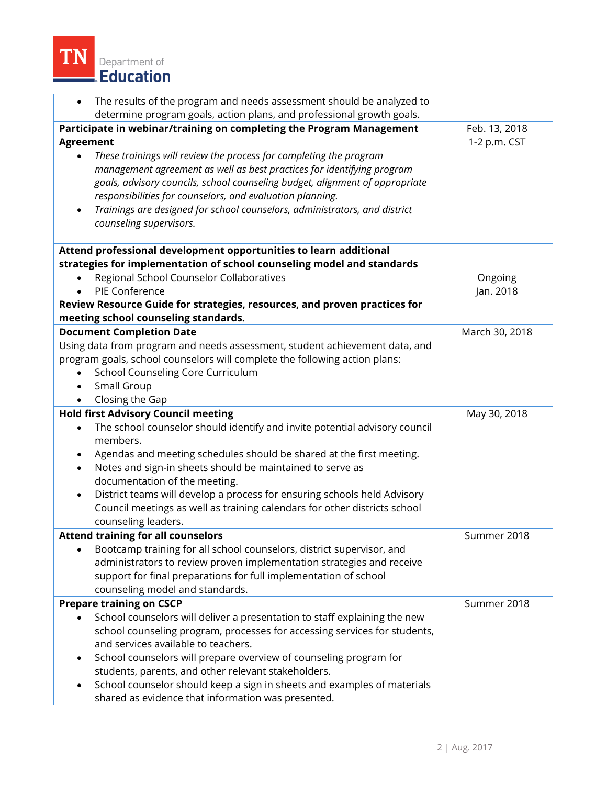

| The results of the program and needs assessment should be analyzed to<br>$\bullet$                                |                |
|-------------------------------------------------------------------------------------------------------------------|----------------|
| determine program goals, action plans, and professional growth goals.                                             |                |
| Participate in webinar/training on completing the Program Management                                              | Feb. 13, 2018  |
| <b>Agreement</b>                                                                                                  | 1-2 p.m. CST   |
| These trainings will review the process for completing the program                                                |                |
| management agreement as well as best practices for identifying program                                            |                |
| goals, advisory councils, school counseling budget, alignment of appropriate                                      |                |
| responsibilities for counselors, and evaluation planning.                                                         |                |
| Trainings are designed for school counselors, administrators, and district                                        |                |
| counseling supervisors.                                                                                           |                |
| Attend professional development opportunities to learn additional                                                 |                |
| strategies for implementation of school counseling model and standards                                            |                |
| Regional School Counselor Collaboratives                                                                          | Ongoing        |
| PIE Conference                                                                                                    | Jan. 2018      |
| Review Resource Guide for strategies, resources, and proven practices for<br>meeting school counseling standards. |                |
| <b>Document Completion Date</b>                                                                                   | March 30, 2018 |
| Using data from program and needs assessment, student achievement data, and                                       |                |
| program goals, school counselors will complete the following action plans:                                        |                |
| School Counseling Core Curriculum                                                                                 |                |
| Small Group<br>$\bullet$                                                                                          |                |
| Closing the Gap                                                                                                   |                |
| <b>Hold first Advisory Council meeting</b>                                                                        | May 30, 2018   |
| The school counselor should identify and invite potential advisory council<br>$\bullet$                           |                |
| members.                                                                                                          |                |
| Agendas and meeting schedules should be shared at the first meeting.<br>$\bullet$                                 |                |
| Notes and sign-in sheets should be maintained to serve as                                                         |                |
| documentation of the meeting.                                                                                     |                |
| District teams will develop a process for ensuring schools held Advisory<br>$\bullet$                             |                |
| Council meetings as well as training calendars for other districts school                                         |                |
| counseling leaders.                                                                                               |                |
| <b>Attend training for all counselors</b>                                                                         | Summer 2018    |
| Bootcamp training for all school counselors, district supervisor, and                                             |                |
| administrators to review proven implementation strategies and receive                                             |                |
| support for final preparations for full implementation of school                                                  |                |
| counseling model and standards.                                                                                   |                |
| <b>Prepare training on CSCP</b>                                                                                   | Summer 2018    |
| School counselors will deliver a presentation to staff explaining the new                                         |                |
| school counseling program, processes for accessing services for students,                                         |                |
| and services available to teachers.                                                                               |                |
| School counselors will prepare overview of counseling program for                                                 |                |
| students, parents, and other relevant stakeholders.                                                               |                |
| School counselor should keep a sign in sheets and examples of materials                                           |                |
| shared as evidence that information was presented.                                                                |                |